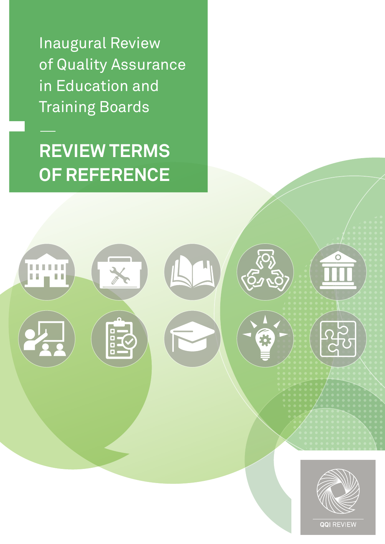Inaugural Review of Quality Assurance in Education and Training Boards

# **REVIEW TERMS OF REFERENCE**

E

**LETTER** шт



 $\overline{O}$ 

<u>ာကို</u>

森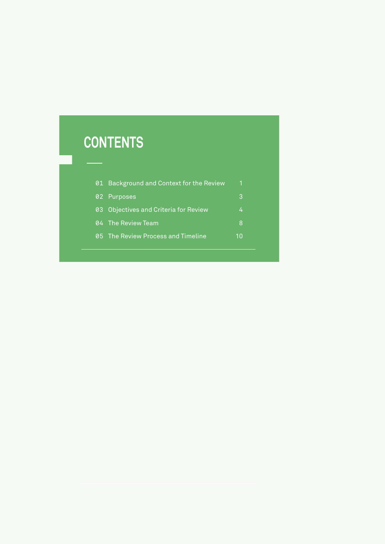## **CONTENTS**

| 01 | Background and Context for the Review | 1  |  |
|----|---------------------------------------|----|--|
| 02 | Purposes                              | 3  |  |
| 03 | Objectives and Criteria for Review    | 4  |  |
|    | 04 The Review Team                    | 8  |  |
|    | 05 The Review Process and Timeline    | 10 |  |
|    |                                       |    |  |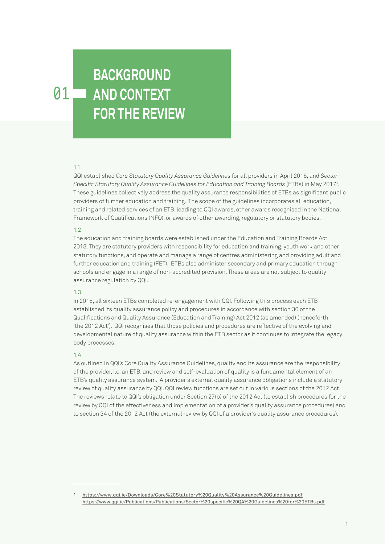### **BACKGROUND**   $01'$ **AND CONTEXT**  ٦ **FOR THE REVIEW**

#### 1.1

QQI established *Core Statutory Quality Assurance Guidelines* for all providers in April 2016, and *Sector-Specific Statutory Quality Assurance Guidelines for Education and Training Boards* (ETBs) in May 20171 . These guidelines collectively address the quality assurance responsibilities of ETBs as significant public providers of further education and training. The scope of the guidelines incorporates all education, training and related services of an ETB, leading to QQI awards, other awards recognised in the National Framework of Qualifications (NFQ), or awards of other awarding, regulatory or statutory bodies.

#### 1.2

The education and training boards were established under the Education and Training Boards Act 2013. They are statutory providers with responsibility for education and training, youth work and other statutory functions, and operate and manage a range of centres administering and providing adult and further education and training (FET). ETBs also administer secondary and primary education through schools and engage in a range of non-accredited provision. These areas are not subject to quality assurance regulation by QQI.

#### 1.3

In 2018, all sixteen ETBs completed re-engagement with QQI. Following this process each ETB established its quality assurance policy and procedures in accordance with section 30 of the Qualifications and Quality Assurance (Education and Training) Act 2012 (as amended) (henceforth 'the 2012 Act'). QQI recognises that those policies and procedures are reflective of the evolving and developmental nature of quality assurance within the ETB sector as it continues to integrate the legacy body processes.

#### 1.4

As outlined in QQI's Core Quality Assurance Guidelines, quality and its assurance are the responsibility of the provider, i.e. an ETB, and review and self-evaluation of quality is a fundamental element of an ETB's quality assurance system. A provider's external quality assurance obligations include a statutory review of quality assurance by QQI. QQI review functions are set out in various sections of the 2012 Act. The reviews relate to QQI's obligation under Section 27(b) of the 2012 Act (to establish procedures for the review by QQI of the effectiveness and implementation of a provider's quality assurance procedures) and to section 34 of the 2012 Act (the external review by QQI of a provider's quality assurance procedures).

<sup>1</sup> <https://www.qqi.ie/Downloads/Core%20Statutory%20Quality%20Assurance%20Guidelines.pdf> <https://www.qqi.ie/Publications/Publications/Sector%20specific%20QA%20Guidelines%20for%20ETBs.pdf>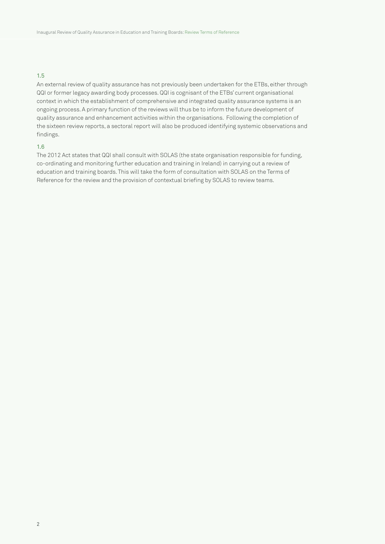#### 1.5

An external review of quality assurance has not previously been undertaken for the ETBs, either through QQI or former legacy awarding body processes. QQI is cognisant of the ETBs' current organisational context in which the establishment of comprehensive and integrated quality assurance systems is an ongoing process. A primary function of the reviews will thus be to inform the future development of quality assurance and enhancement activities within the organisations. Following the completion of the sixteen review reports, a sectoral report will also be produced identifying systemic observations and findings.

#### 1.6

The 2012 Act states that QQI shall consult with SOLAS (the state organisation responsible for funding, co-ordinating and monitoring further education and training in Ireland) in carrying out a review of education and training boards. This will take the form of consultation with SOLAS on the Terms of Reference for the review and the provision of contextual briefing by SOLAS to review teams.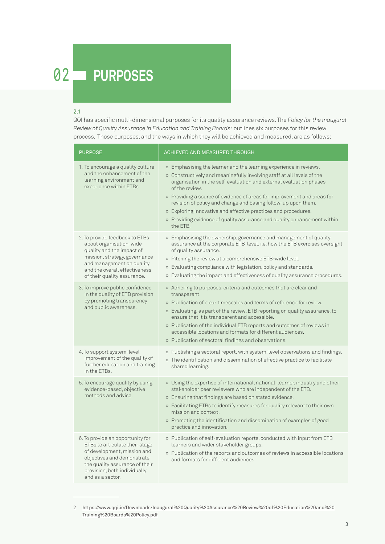# 02 **PURPOSES**

#### 2.1

QQI has specific multi-dimensional purposes for its quality assurance reviews. The *Policy for the Inaugural Review of Quality Assurance in Education and Training Boards*<sup>2</sup> outlines six purposes for this review process. Those purposes, and the ways in which they will be achieved and measured, are as follows:

| <b>PURPOSE</b>                                                                                                                                                                                                        | ACHIEVED AND MEASURED THROUGH                                                                                                                                                                                                                                                                                                                                                                                                                                                                                                             |
|-----------------------------------------------------------------------------------------------------------------------------------------------------------------------------------------------------------------------|-------------------------------------------------------------------------------------------------------------------------------------------------------------------------------------------------------------------------------------------------------------------------------------------------------------------------------------------------------------------------------------------------------------------------------------------------------------------------------------------------------------------------------------------|
| 1. To encourage a quality culture<br>and the enhancement of the<br>learning environment and<br>experience within ETBs                                                                                                 | » Emphasising the learner and the learning experience in reviews.<br>» Constructively and meaningfully involving staff at all levels of the<br>organisation in the self-evaluation and external evaluation phases<br>of the review.<br>» Providing a source of evidence of areas for improvement and areas for<br>revision of policy and change and basing follow-up upon them.<br>» Exploring innovative and effective practices and procedures.<br>» Providing evidence of quality assurance and quality enhancement within<br>the ETB. |
| 2. To provide feedback to ETBs<br>about organisation-wide<br>quality and the impact of<br>mission, strategy, governance<br>and management on quality<br>and the overall effectiveness<br>of their quality assurance.  | » Emphasising the ownership, governance and management of quality<br>assurance at the corporate ETB-level, i.e. how the ETB exercises oversight<br>of quality assurance.<br>» Pitching the review at a comprehensive ETB-wide level.<br>» Evaluating compliance with legislation, policy and standards.<br>» Evaluating the impact and effectiveness of quality assurance procedures.                                                                                                                                                     |
| 3. To improve public confidence<br>in the quality of ETB provision<br>by promoting transparency<br>and public awareness.                                                                                              | » Adhering to purposes, criteria and outcomes that are clear and<br>transparent.<br>» Publication of clear timescales and terms of reference for review.<br>» Evaluating, as part of the review, ETB reporting on quality assurance, to<br>ensure that it is transparent and accessible.<br>» Publication of the individual ETB reports and outcomes of reviews in<br>accessible locations and formats for different audiences.<br>» Publication of sectoral findings and observations.                                                   |
| 4. To support system-level<br>improvement of the quality of<br>further education and training<br>in the ETBs.                                                                                                         | » Publishing a sectoral report, with system-level observations and findings.<br>» The identification and dissemination of effective practice to facilitate<br>shared learning.                                                                                                                                                                                                                                                                                                                                                            |
| 5. To encourage quality by using<br>evidence-based, objective<br>methods and advice.                                                                                                                                  | » Using the expertise of international, national, learner, industry and other<br>stakeholder peer reviewers who are independent of the ETB.<br>» Ensuring that findings are based on stated evidence.<br>» Facilitating ETBs to identify measures for quality relevant to their own<br>mission and context.<br>» Promoting the identification and dissemination of examples of good<br>practice and innovation.                                                                                                                           |
| 6. To provide an opportunity for<br>ETBs to articulate their stage<br>of development, mission and<br>objectives and demonstrate<br>the quality assurance of their<br>provision, both individually<br>and as a sector. | » Publication of self-evaluation reports, conducted with input from ETB<br>learners and wider stakeholder groups.<br>» Publication of the reports and outcomes of reviews in accessible locations<br>and formats for different audiences.                                                                                                                                                                                                                                                                                                 |

<sup>2</sup> [https://www.qqi.ie/Downloads/Inaugural%20Quality%20Assurance%20Review%20of%20Education%20and%20](https://www.qqi.ie/Downloads/Inaugural%20Quality%20Assurance%20Review%20of%20Education%20and%20Training%20Boards%20Policy.pdf) [Training%20Boards%20Policy.pdf](https://www.qqi.ie/Downloads/Inaugural%20Quality%20Assurance%20Review%20of%20Education%20and%20Training%20Boards%20Policy.pdf)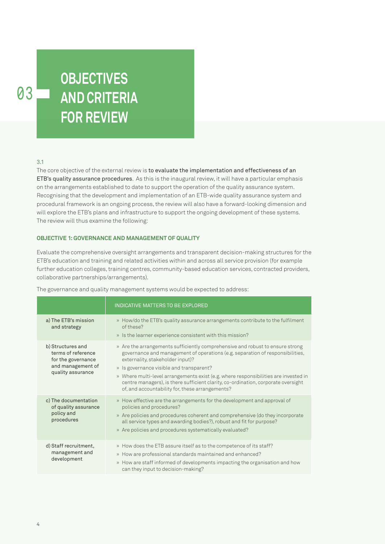## **OBJECTIVES AND CRITERIA FOR REVIEW**

#### 3.1

03

The core objective of the external review is to evaluate the implementation and effectiveness of an ETB's quality assurance procedures. As this is the inaugural review, it will have a particular emphasis on the arrangements established to date to support the operation of the quality assurance system. Recognising that the development and implementation of an ETB-wide quality assurance system and procedural framework is an ongoing process, the review will also have a forward-looking dimension and will explore the ETB's plans and infrastructure to support the ongoing development of these systems. The review will thus examine the following:

#### **OBJECTIVE 1: GOVERNANCE AND MANAGEMENT OF QUALITY**

Evaluate the comprehensive oversight arrangements and transparent decision-making structures for the ETB's education and training and related activities within and across all service provision (for example further education colleges, training centres, community-based education services, contracted providers, collaborative partnerships/arrangements).

|                                                                                                         | INDICATIVE MATTERS TO BE EXPLORED                                                                                                                                                                                                                                                                                                                                                                                                                                             |
|---------------------------------------------------------------------------------------------------------|-------------------------------------------------------------------------------------------------------------------------------------------------------------------------------------------------------------------------------------------------------------------------------------------------------------------------------------------------------------------------------------------------------------------------------------------------------------------------------|
| a) The ETB's mission<br>and strategy                                                                    | » How/do the ETB's quality assurance arrangements contribute to the fulfilment<br>of these?<br>» Is the learner experience consistent with this mission?                                                                                                                                                                                                                                                                                                                      |
| b) Structures and<br>terms of reference<br>for the governance<br>and management of<br>quality assurance | » Are the arrangements sufficiently comprehensive and robust to ensure strong<br>governance and management of operations (e.g. separation of responsibilities,<br>externality, stakeholder input)?<br>» Is governance visible and transparent?<br>» Where multi-level arrangements exist (e.g. where responsibilities are invested in<br>centre managers), is there sufficient clarity, co-ordination, corporate oversight<br>of, and accountability for, these arrangements? |
| c) The documentation<br>of quality assurance<br>policy and<br>procedures                                | » How effective are the arrangements for the development and approval of<br>policies and procedures?<br>» Are policies and procedures coherent and comprehensive (do they incorporate<br>all service types and awarding bodies?), robust and fit for purpose?<br>» Are policies and procedures systematically evaluated?                                                                                                                                                      |
| d) Staff recruitment,<br>management and<br>development                                                  | » How does the ETB assure itself as to the competence of its staff?<br>» How are professional standards maintained and enhanced?<br>» How are staff informed of developments impacting the organisation and how<br>can they input to decision-making?                                                                                                                                                                                                                         |

The governance and quality management systems would be expected to address: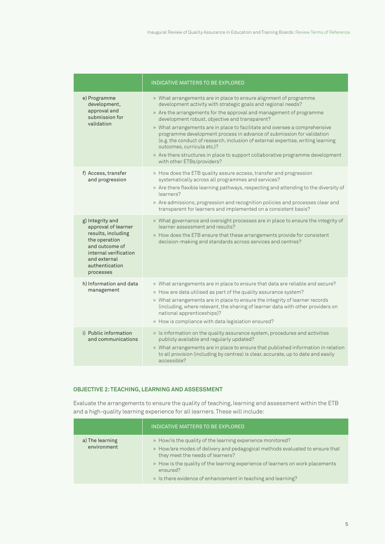|                                                                                                                                                                          | <b>INDICATIVE MATTERS TO BE EXPLORED</b>                                                                                                                                                                                                                                                                                                                                                                                                                                                                                                                                                                                                             |
|--------------------------------------------------------------------------------------------------------------------------------------------------------------------------|------------------------------------------------------------------------------------------------------------------------------------------------------------------------------------------------------------------------------------------------------------------------------------------------------------------------------------------------------------------------------------------------------------------------------------------------------------------------------------------------------------------------------------------------------------------------------------------------------------------------------------------------------|
| e) Programme<br>development,<br>approval and<br>submission for<br>validation                                                                                             | » What arrangements are in place to ensure alignment of programme<br>development activity with strategic goals and regional needs?<br>» Are the arrangements for the approval and management of programme<br>development robust, objective and transparent?<br>» What arrangements are in place to facilitate and oversee a comprehensive<br>programme development process in advance of submission for validation<br>(e.g. the conduct of research, inclusion of external expertise, writing learning<br>outcomes, curricula etc.)?<br>» Are there structures in place to support collaborative programme development<br>with other ETBs/providers? |
| f) Access, transfer<br>and progression                                                                                                                                   | » How does the ETB quality assure access, transfer and progression<br>systematically across all programmes and services?<br>» Are there flexible learning pathways, respecting and attending to the diversity of<br>learners?<br>» Are admissions, progression and recognition policies and processes clear and<br>transparent for learners and implemented on a consistent basis?                                                                                                                                                                                                                                                                   |
| g) Integrity and<br>approval of learner<br>results, including<br>the operation<br>and outcome of<br>internal verification<br>and external<br>authentication<br>processes | » What governance and oversight processes are in place to ensure the integrity of<br>learner assessment and results?<br>» How does the ETB ensure that these arrangements provide for consistent<br>decision-making and standards across services and centres?                                                                                                                                                                                                                                                                                                                                                                                       |
| h) Information and data<br>management                                                                                                                                    | » What arrangements are in place to ensure that data are reliable and secure?<br>» How are data utilised as part of the quality assurance system?<br>» What arrangements are in place to ensure the integrity of learner records<br>(including, where relevant, the sharing of learner data with other providers on<br>national apprenticeships)?<br>» How is compliance with data legislation ensured?                                                                                                                                                                                                                                              |
| i) Public information<br>and communications                                                                                                                              | » Is information on the quality assurance system, procedures and activities<br>publicly available and regularly updated?<br>» What arrangements are in place to ensure that published information in relation<br>to all provision (including by centres) is clear, accurate, up to date and easily<br>accessible?                                                                                                                                                                                                                                                                                                                                    |

#### **OBJECTIVE 2: TEACHING, LEARNING AND ASSESSMENT**

Evaluate the arrangements to ensure the quality of teaching, learning and assessment within the ETB and a high-quality learning experience for all learners. These will include:

|                                | INDICATIVE MATTERS TO BE EXPLORED                                                                                                                                                                                                                                                                                                            |
|--------------------------------|----------------------------------------------------------------------------------------------------------------------------------------------------------------------------------------------------------------------------------------------------------------------------------------------------------------------------------------------|
| a) The learning<br>environment | » How/is the quality of the learning experience monitored?<br>» How/are modes of delivery and pedagogical methods evaluated to ensure that<br>they meet the needs of learners?<br>» How is the quality of the learning experience of learners on work placements<br>ensured?<br>» Is there evidence of enhancement in teaching and learning? |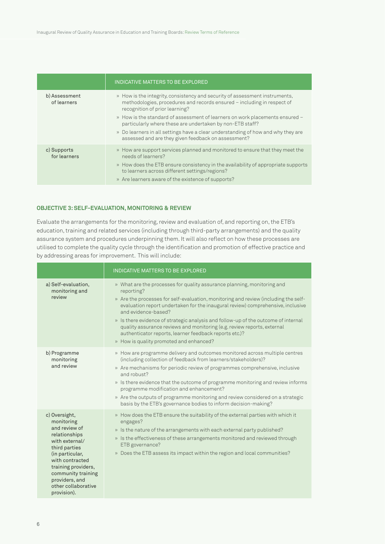|                              | INDICATIVE MATTERS TO BE EXPLORED                                                                                                                                                                                                                                                                                                                                                                                                                                                |  |
|------------------------------|----------------------------------------------------------------------------------------------------------------------------------------------------------------------------------------------------------------------------------------------------------------------------------------------------------------------------------------------------------------------------------------------------------------------------------------------------------------------------------|--|
| b) Assessment<br>of learners | » How is the integrity, consistency and security of assessment instruments,<br>methodologies, procedures and records ensured – including in respect of<br>recognition of prior learning?<br>» How is the standard of assessment of learners on work placements ensured -<br>particularly where these are undertaken by non-ETB staff?<br>» Do learners in all settings have a clear understanding of how and why they are<br>assessed and are they given feedback on assessment? |  |
| c) Supports<br>for learners  | » How are support services planned and monitored to ensure that they meet the<br>needs of learners?<br>» How does the ETB ensure consistency in the availability of appropriate supports<br>to learners across different settings/regions?<br>» Are learners aware of the existence of supports?                                                                                                                                                                                 |  |

#### **OBJECTIVE 3: SELF-EVALUATION, MONITORING & REVIEW**

Evaluate the arrangements for the monitoring, review and evaluation of, and reporting on, the ETB's education, training and related services (including through third-party arrangements) and the quality assurance system and procedures underpinning them. It will also reflect on how these processes are utilised to complete the quality cycle through the identification and promotion of effective practice and by addressing areas for improvement. This will include:

|                                                                                                                                                                                                                                             | <b>INDICATIVE MATTERS TO BE EXPLORED</b>                                                                                                                                                                                                                                                                                                                                                                                                                                                                                                                     |
|---------------------------------------------------------------------------------------------------------------------------------------------------------------------------------------------------------------------------------------------|--------------------------------------------------------------------------------------------------------------------------------------------------------------------------------------------------------------------------------------------------------------------------------------------------------------------------------------------------------------------------------------------------------------------------------------------------------------------------------------------------------------------------------------------------------------|
| a) Self-evaluation,<br>monitoring and<br>review                                                                                                                                                                                             | » What are the processes for quality assurance planning, monitoring and<br>reporting?<br>» Are the processes for self-evaluation, monitoring and review (including the self-<br>evaluation report undertaken for the inaugural review) comprehensive, inclusive<br>and evidence-based?<br>» Is there evidence of strategic analysis and follow-up of the outcome of internal<br>quality assurance reviews and monitoring (e.g. review reports, external<br>authenticator reports, learner feedback reports etc.)?<br>» How is quality promoted and enhanced? |
| b) Programme<br>monitoring<br>and review                                                                                                                                                                                                    | » How are programme delivery and outcomes monitored across multiple centres<br>(including collection of feedback from learners/stakeholders)?<br>» Are mechanisms for periodic review of programmes comprehensive, inclusive<br>and robust?<br>» Is there evidence that the outcome of programme monitoring and review informs<br>programme modification and enhancement?<br>» Are the outputs of programme monitoring and review considered on a strategic<br>basis by the ETB's governance bodies to inform decision-making?                               |
| c) Oversight,<br>monitoring<br>and review of<br>relationships<br>with external/<br>third parties<br>(in particular,<br>with contracted<br>training providers,<br>community training<br>providers, and<br>other collaborative<br>provision). | » How does the ETB ensure the suitability of the external parties with which it<br>engages?<br>» Is the nature of the arrangements with each external party published?<br>» Is the effectiveness of these arrangements monitored and reviewed through<br>ETB governance?<br>» Does the ETB assess its impact within the region and local communities?                                                                                                                                                                                                        |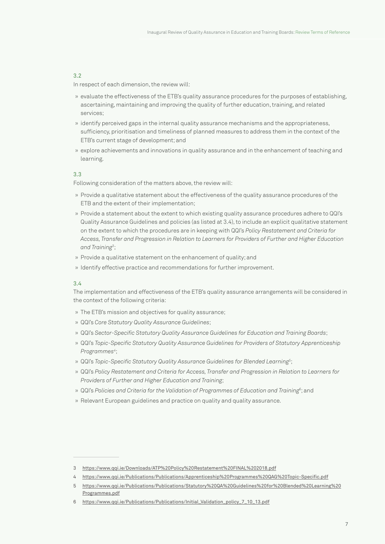#### 3.2

In respect of each dimension, the review will:

- » evaluate the effectiveness of the ETB's quality assurance procedures for the purposes of establishing, ascertaining, maintaining and improving the quality of further education, training, and related services;
- » identify perceived gaps in the internal quality assurance mechanisms and the appropriateness, sufficiency, prioritisation and timeliness of planned measures to address them in the context of the ETB's current stage of development; and
- » explore achievements and innovations in quality assurance and in the enhancement of teaching and learning.

#### 3.3

Following consideration of the matters above, the review will:

- » Provide a qualitative statement about the effectiveness of the quality assurance procedures of the ETB and the extent of their implementation;
- » Provide a statement about the extent to which existing quality assurance procedures adhere to QQI's Quality Assurance Guidelines and policies (as listed at 3.4), to include an explicit qualitative statement on the extent to which the procedures are in keeping with QQI's *Policy Restatement and Criteria for Access, Transfer and Progression in Relation to Learners for Providers of Further and Higher Education and Training3* ;
- » Provide a qualitative statement on the enhancement of quality; and
- » Identify effective practice and recommendations for further improvement.

#### 3.4

The implementation and effectiveness of the ETB's quality assurance arrangements will be considered in the context of the following criteria:

- » The ETB's mission and objectives for quality assurance;
- » QQI's *Core Statutory Quality Assurance Guidelines*;
- » QQI's *Sector-Specific Statutory Quality Assurance Guidelines for Education and Training Boards*;
- » QQI's *Topic-Specific Statutory Quality Assurance Guidelines for Providers of Statutory Apprenticeship*  Programmes<sup>4</sup>;
- » QQI's *Topic-Specific Statutory Quality Assurance Guidelines for Blended Learning<sup>s</sup>;*
- » QQI's *Policy Restatement and Criteria for Access, Transfer and Progression in Relation to Learners for Providers of Further and Higher Education and Training*;
- » QQI's Policies and Criteria for the Validation of Programmes of Education and Training<sup>6</sup>; and
- » Relevant European guidelines and practice on quality and quality assurance.

<sup>3</sup> <https://www.qqi.ie/Downloads/ATP%20Policy%20Restatement%20FINAL%202018.pdf>

<sup>4</sup> <https://www.qqi.ie/Publications/Publications/Apprenticeship%20Programmes%20QAG%20Topic-Specific.pdf>

<sup>5</sup> [https://www.qqi.ie/Publications/Publications/Statutory%20QA%20Guidelines%20for%20Blended%20Learning%20](https://www.qqi.ie/Publications/Publications/Statutory%20QA%20Guidelines%20for%20Blended%20Learning%20Programmes.pdf) [Programmes.pdf](https://www.qqi.ie/Publications/Publications/Statutory%20QA%20Guidelines%20for%20Blended%20Learning%20Programmes.pdf)

<sup>6</sup> [https://www.qqi.ie/Publications/Publications/Initial\\_Validation\\_policy\\_7\\_10\\_13.pdf](https://www.qqi.ie/Publications/Publications/Initial_Validation_policy_7_10_13.pdf)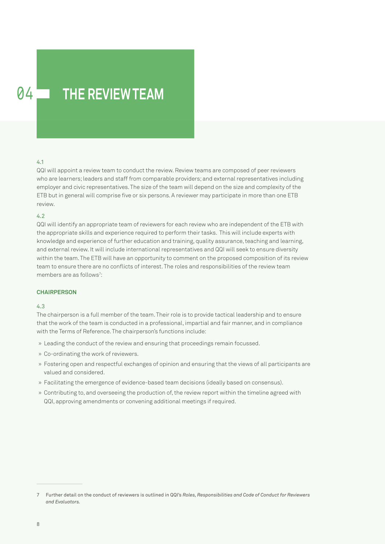## 04 **THE REVIEW TEAM**

#### 4.1

QQI will appoint a review team to conduct the review. Review teams are composed of peer reviewers who are learners; leaders and staff from comparable providers; and external representatives including employer and civic representatives. The size of the team will depend on the size and complexity of the ETB but in general will comprise five or six persons. A reviewer may participate in more than one ETB review.

#### 4.2

QQI will identify an appropriate team of reviewers for each review who are independent of the ETB with the appropriate skills and experience required to perform their tasks. This will include experts with knowledge and experience of further education and training, quality assurance, teaching and learning, and external review. It will include international representatives and QQI will seek to ensure diversity within the team. The ETB will have an opportunity to comment on the proposed composition of its review team to ensure there are no conflicts of interest. The roles and responsibilities of the review team members are as follows<sup>7</sup>:

#### **CHAIRPERSON**

#### $4.3$

The chairperson is a full member of the team. Their role is to provide tactical leadership and to ensure that the work of the team is conducted in a professional, impartial and fair manner, and in compliance with the Terms of Reference. The chairperson's functions include:

- » Leading the conduct of the review and ensuring that proceedings remain focussed.
- » Co-ordinating the work of reviewers.
- » Fostering open and respectful exchanges of opinion and ensuring that the views of all participants are valued and considered.
- » Facilitating the emergence of evidence-based team decisions (ideally based on consensus).
- » Contributing to, and overseeing the production of, the review report within the timeline agreed with QQI, approving amendments or convening additional meetings if required.

<sup>7</sup> Further detail on the conduct of reviewers is outlined in QQI's *Roles, Responsibilities and Code of Conduct for Reviewers and Evaluators.*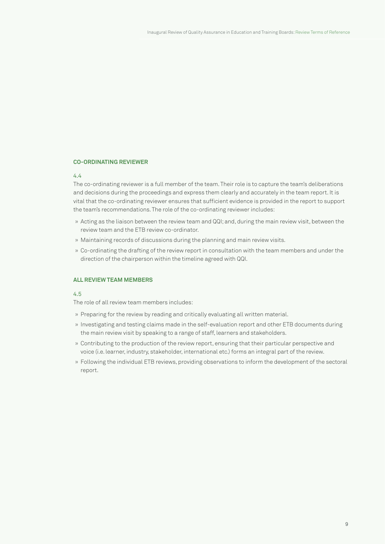#### **CO-ORDINATING REVIEWER**

#### 4.4

The co-ordinating reviewer is a full member of the team. Their role is to capture the team's deliberations and decisions during the proceedings and express them clearly and accurately in the team report. It is vital that the co-ordinating reviewer ensures that sufficient evidence is provided in the report to support the team's recommendations. The role of the co-ordinating reviewer includes:

- » Acting as the liaison between the review team and QQI; and, during the main review visit, between the review team and the ETB review co-ordinator.
- » Maintaining records of discussions during the planning and main review visits.
- » Co-ordinating the drafting of the review report in consultation with the team members and under the direction of the chairperson within the timeline agreed with QQI.

#### **ALL REVIEW TEAM MEMBERS**

#### 4.5

The role of all review team members includes:

- » Preparing for the review by reading and critically evaluating all written material.
- » Investigating and testing claims made in the self-evaluation report and other ETB documents during the main review visit by speaking to a range of staff, learners and stakeholders.
- » Contributing to the production of the review report, ensuring that their particular perspective and voice (i.e. learner, industry, stakeholder, international etc.) forms an integral part of the review.
- » Following the individual ETB reviews, providing observations to inform the development of the sectoral report.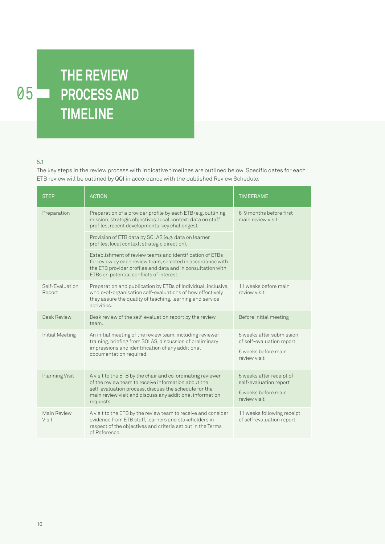### **THE REVIEW PROCESS AND TIMELINE** 05

#### 5.1

The key steps in the review process with indicative timelines are outlined below. Specific dates for each ETB review will be outlined by QQI in accordance with the published Review Schedule.

| <b>STEP</b>               | <b>ACTION</b>                                                                                                                                                                                                                                       | <b>TIMEFRAME</b>                                                                             |
|---------------------------|-----------------------------------------------------------------------------------------------------------------------------------------------------------------------------------------------------------------------------------------------------|----------------------------------------------------------------------------------------------|
| Preparation               | Preparation of a provider profile by each ETB (e.g. outlining<br>mission; strategic objectives; local context; data on staff<br>profiles; recent developments; key challenges).                                                                     | 6-9 months before first<br>main review visit                                                 |
|                           | Provision of ETB data by SOLAS (e.g. data on learner<br>profiles; local context; strategic direction).                                                                                                                                              |                                                                                              |
|                           | Establishment of review teams and identification of ETBs<br>for review by each review team, selected in accordance with<br>the ETB provider profiles and data and in consultation with<br>ETBs on potential conflicts of interest.                  |                                                                                              |
| Self-Evaluation<br>Report | Preparation and publication by ETBs of individual, inclusive,<br>whole-of-organisation self-evaluations of how effectively<br>they assure the quality of teaching, learning and service<br>activities                                               | 11 weeks before main<br>review visit                                                         |
| Desk Review               | Desk review of the self-evaluation report by the review<br>team.                                                                                                                                                                                    | Before initial meeting                                                                       |
| Initial Meeting           | An initial meeting of the review team, including reviewer<br>training, briefing from SOLAS, discussion of preliminary<br>impressions and identification of any additional<br>documentation required.                                                | 5 weeks after submission<br>of self-evaluation report<br>6 weeks before main<br>review visit |
| <b>Planning Visit</b>     | A visit to the ETB by the chair and co-ordinating reviewer<br>of the review team to receive information about the<br>self-evaluation process, discuss the schedule for the<br>main review visit and discuss any additional information<br>requests. | 5 weeks after receipt of<br>self-evaluation report<br>6 weeks before main<br>review visit    |
| Main Review<br>Visit      | A visit to the ETB by the review team to receive and consider<br>evidence from ETB staff, learners and stakeholders in<br>respect of the objectives and criteria set out in the Terms<br>of Reference.                                              | 11 weeks following receipt<br>of self-evaluation report                                      |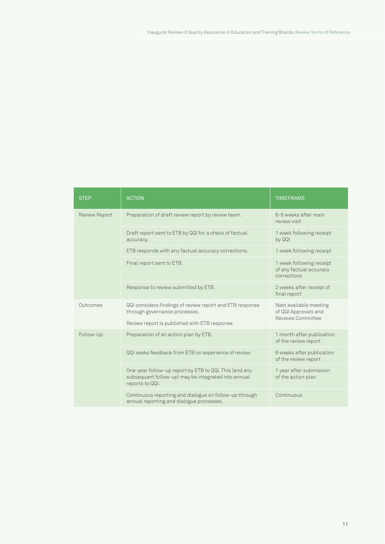| <b>STEP</b>          | <b>ACTION</b>                                                                                                                    | <b>TIMEFRAME</b>                                                   |
|----------------------|----------------------------------------------------------------------------------------------------------------------------------|--------------------------------------------------------------------|
| <b>Review Report</b> | Preparation of draft review report by review team.                                                                               | 6-8 weeks after main<br>review visit                               |
|                      | Draft report sent to ETB by QQI for a check of factual<br>accuracy.                                                              | 1 week following receipt<br>by QQI                                 |
|                      | ETB responds with any factual accuracy corrections.                                                                              | 1 week following receipt                                           |
|                      | Final report sent to ETB.                                                                                                        | 1 week following receipt<br>of any factual accuracy<br>corrections |
|                      | Response to review submitted by ETB.                                                                                             | 2 weeks after receipt of<br>final report                           |
| Outcomes             | QQI considers findings of review report and ETB response<br>through governance processes.                                        | Next available meeting<br>of QQI Approvals and                     |
|                      | Review report is published with ETB response.                                                                                    | Reviews Committee                                                  |
| Follow-Up            | Preparation of an action plan by ETB.                                                                                            | 1 month after publication<br>of the review report                  |
|                      | QQI seeks feedback from ETB on experience of review.                                                                             | 6 weeks after publication<br>of the review report                  |
|                      | One-year follow-up report by ETB to QQI. This (and any<br>subsequent follow-up) may be integrated into annual<br>reports to QQI. | 1 year after submission<br>of the action plan                      |
|                      | Continuous reporting and dialogue on follow-up through<br>annual reporting and dialogue processes.                               | Continuous                                                         |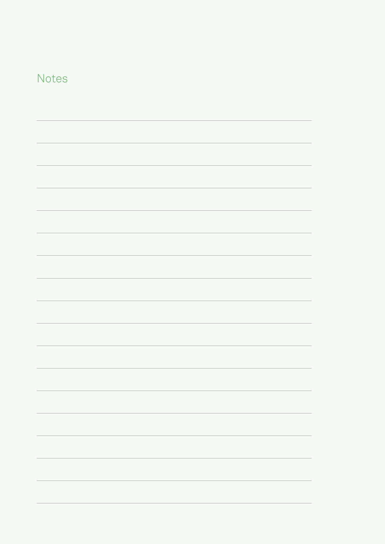|  | <b>Notes</b> |
|--|--------------|
|--|--------------|

 $\sim$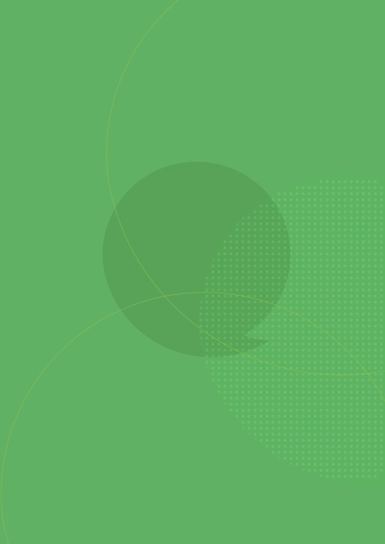